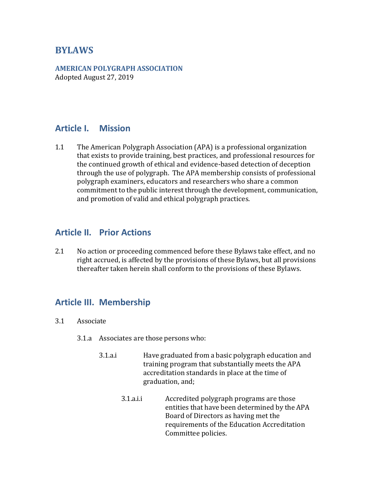## **BYLAWS**

**AMERICAN POLYGRAPH ASSOCIATION** Adopted August 27, 2019

### **Article I. Mission**

1.1 The American Polygraph Association (APA) is a professional organization that exists to provide training, best practices, and professional resources for the continued growth of ethical and evidence-based detection of deception through the use of polygraph. The APA membership consists of professional polygraph examiners, educators and researchers who share a common commitment to the public interest through the development, communication, and promotion of valid and ethical polygraph practices.

### **Article II. Prior Actions**

2.1 No action or proceeding commenced before these Bylaws take effect, and no right accrued, is affected by the provisions of these Bylaws, but all provisions thereafter taken herein shall conform to the provisions of these Bylaws.

### **Article III. Membership**

- 3.1 Associate
	- 3.1.a Associates are those persons who:
		- 3.1.a.i Have graduated from a basic polygraph education and training program that substantially meets the APA accreditation standards in place at the time of graduation, and;
			- 3.1.a.i.i Accredited polygraph programs are those entities that have been determined by the APA Board of Directors as having met the requirements of the Education Accreditation Committee policies.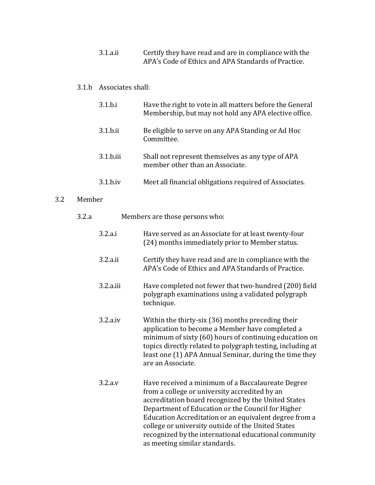3.1.a.ii Certify they have read and are in compliance with the APA's Code of Ethics and APA Standards of Practice.

### 3.1.b Associates shall:

| 3.1.b.i             | Have the right to vote in all matters before the General<br>Membership, but may not hold any APA elective office. |
|---------------------|-------------------------------------------------------------------------------------------------------------------|
| $3.1$ . $b$ .ii     | Be eligible to serve on any APA Standing or Ad Hoc<br>Committee.                                                  |
| $3.1$ . $b$ . $iii$ | Shall not represent themselves as any type of APA<br>member other than an Associate.                              |
| $3.1$ .b.iv         | Meet all financial obligations required of Associates.                                                            |

### 3.2 Member

| 3.2.a | Members are those persons who: |                                                                                                                                                                                                                                                                                                                                                                                                                          |
|-------|--------------------------------|--------------------------------------------------------------------------------------------------------------------------------------------------------------------------------------------------------------------------------------------------------------------------------------------------------------------------------------------------------------------------------------------------------------------------|
|       | 3.2.a.i                        | Have served as an Associate for at least twenty-four<br>(24) months immediately prior to Member status.                                                                                                                                                                                                                                                                                                                  |
|       | 3.2.a.ii                       | Certify they have read and are in compliance with the<br>APA's Code of Ethics and APA Standards of Practice.                                                                                                                                                                                                                                                                                                             |
|       | 3.2.a.iii                      | Have completed not fewer that two-hundred (200) field<br>polygraph examinations using a validated polygraph<br>technique.                                                                                                                                                                                                                                                                                                |
|       | 3.2.a.iv                       | Within the thirty-six (36) months preceding their<br>application to become a Member have completed a<br>minimum of sixty (60) hours of continuing education on<br>topics directly related to polygraph testing, including at<br>least one (1) APA Annual Seminar, during the time they<br>are an Associate.                                                                                                              |
|       | 3.2.a.v                        | Have received a minimum of a Baccalaureate Degree<br>from a college or university accredited by an<br>accreditation board recognized by the United States<br>Department of Education or the Council for Higher<br>Education Accreditation or an equivalent degree from a<br>college or university outside of the United States<br>recognized by the international educational community<br>as meeting similar standards. |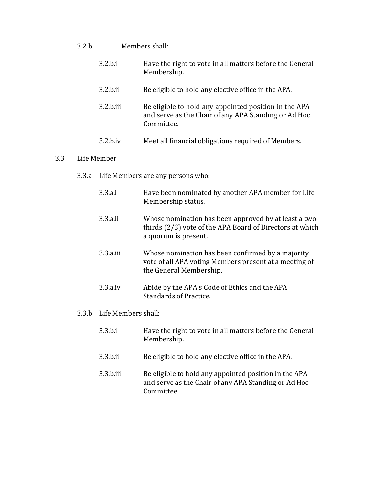- 3.2.b Members shall:
	- 3.2.b.i Have the right to vote in all matters before the General Membership.
	- 3.2.b.ii Be eligible to hold any elective office in the APA.
	- 3.2.b.iii Be eligible to hold any appointed position in the APA and serve as the Chair of any APA Standing or Ad Hoc Committee.
	- 3.2.b.iv Meet all financial obligations required of Members.

#### 3.3 Life Member

- 3.3.a Life Members are any persons who:
	- 3.3.a.i Have been nominated by another APA member for Life Membership status.
	- 3.3.a.ii Whose nomination has been approved by at least a twothirds (2/3) vote of the APA Board of Directors at which a quorum is present.
	- 3.3.a.iii Whose nomination has been confirmed by a majority vote of all APA voting Members present at a meeting of the General Membership.
	- 3.3.a.iv Abide by the APA's Code of Ethics and the APA Standards of Practice.
- 3.3.b Life Members shall:
	- 3.3.b.i Have the right to vote in all matters before the General Membership.
	- 3.3.b.ii Be eligible to hold any elective office in the APA.
	- 3.3.b.iii Be eligible to hold any appointed position in the APA and serve as the Chair of any APA Standing or Ad Hoc Committee.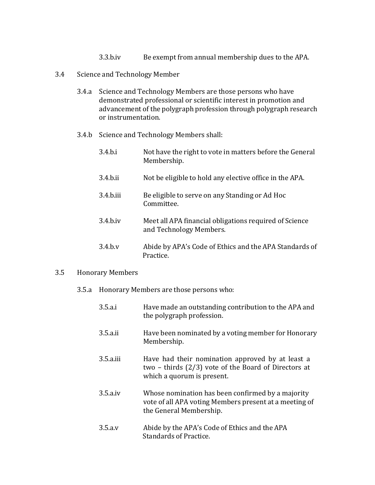- 3.3.b.iv Be exempt from annual membership dues to the APA.
- 3.4 Science and Technology Member
	- 3.4.a Science and Technology Members are those persons who have demonstrated professional or scientific interest in promotion and advancement of the polygraph profession through polygraph research or instrumentation.
	- 3.4.b Science and Technology Members shall:
		- 3.4.b.i Not have the right to vote in matters before the General Membership.
		- 3.4.b.ii Not be eligible to hold any elective office in the APA.
		- 3.4.b.iii Be eligible to serve on any Standing or Ad Hoc Committee.
		- 3.4.b.iv Meet all APA financial obligations required of Science and Technology Members.
		- 3.4.b.v Abide by APA's Code of Ethics and the APA Standards of Practice.

#### 3.5 Honorary Members

#### 3.5.a Honorary Members are those persons who:

3.5.a.i Have made an outstanding contribution to the APA and the polygraph profession. 3.5.a.ii Have been nominated by a voting member for Honorary Membership. 3.5.a.iii Have had their nomination approved by at least a two – thirds (2/3) vote of the Board of Directors at which a quorum is present. 3.5.a.iv Whose nomination has been confirmed by a majority vote of all APA voting Members present at a meeting of the General Membership. 3.5.a.v Abide by the APA's Code of Ethics and the APA Standards of Practice.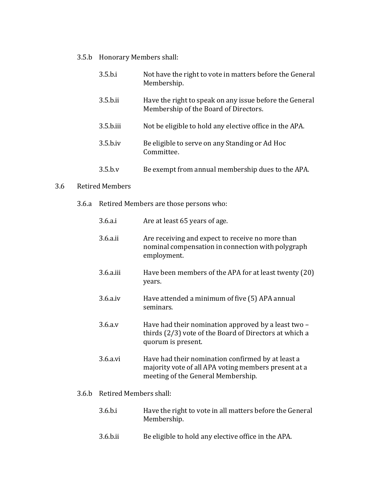3.5.b Honorary Members shall:

| 3.5.b.i   | Not have the right to vote in matters before the General<br>Membership.                          |
|-----------|--------------------------------------------------------------------------------------------------|
| 3.5.b.ii  | Have the right to speak on any issue before the General<br>Membership of the Board of Directors. |
| 3.5.b.iii | Not be eligible to hold any elective office in the APA.                                          |
| 3.5.b.iv  | Be eligible to serve on any Standing or Ad Hoc<br>Committee.                                     |
| 3.5.b.v   | Be exempt from annual membership dues to the APA.                                                |

#### 3.6 Retired Members

3.6.a Retired Members are those persons who:

| 3.6.a.i       | Are at least 65 years of age.                                                                                                                   |
|---------------|-------------------------------------------------------------------------------------------------------------------------------------------------|
| 3.6. a. ii    | Are receiving and expect to receive no more than<br>nominal compensation in connection with polygraph<br>employment.                            |
| $3.6. a$ .iii | Have been members of the APA for at least twenty (20)<br>years.                                                                                 |
| $3.6. a$ .iv  | Have attended a minimum of five (5) APA annual<br>seminars.                                                                                     |
| 3.6.a.v       | Have had their nomination approved by a least two -<br>thirds (2/3) vote of the Board of Directors at which a<br>quorum is present.             |
| 3.6.a.vi      | Have had their nomination confirmed by at least a<br>majority vote of all APA voting members present at a<br>meeting of the General Membership. |

### 3.6.b Retired Members shall:

- 3.6.b.i Have the right to vote in all matters before the General Membership.
- 3.6.b.ii Be eligible to hold any elective office in the APA.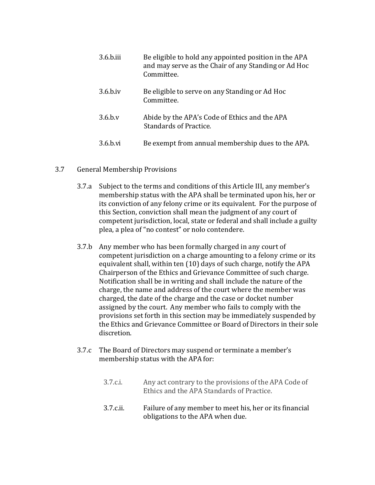| 3.6.b.iii   | Be eligible to hold any appointed position in the APA<br>and may serve as the Chair of any Standing or Ad Hoc<br>Committee. |
|-------------|-----------------------------------------------------------------------------------------------------------------------------|
| $3.6$ .b.iv | Be eligible to serve on any Standing or Ad Hoc<br>Committee.                                                                |
| $3.6$ .b.v  | Abide by the APA's Code of Ethics and the APA<br>Standards of Practice.                                                     |
| 3.6.b.vi    | Be exempt from annual membership dues to the APA.                                                                           |

### 3.7 General Membership Provisions

- 3.7.a Subject to the terms and conditions of this Article III, any member's membership status with the APA shall be terminated upon his, her or its conviction of any felony crime or its equivalent. For the purpose of this Section, conviction shall mean the judgment of any court of competent jurisdiction, local, state or federal and shall include a guilty plea, a plea of "no contest" or nolo contendere.
- 3.7.b Any member who has been formally charged in any court of competent jurisdiction on a charge amounting to a felony crime or its equivalent shall, within ten (10) days of such charge, notify the APA Chairperson of the Ethics and Grievance Committee of such charge. Notification shall be in writing and shall include the nature of the charge, the name and address of the court where the member was charged, the date of the charge and the case or docket number assigned by the court. Any member who fails to comply with the provisions set forth in this section may be immediately suspended by the Ethics and Grievance Committee or Board of Directors in their sole discretion.
- 3.7.c The Board of Directors may suspend or terminate a member's membership status with the APA for:
	- 3.7.c.i. Any act contrary to the provisions of the APA Code of Ethics and the APA Standards of Practice.
	- 3.7.c.ii. Failure of any member to meet his, her or its financial obligations to the APA when due.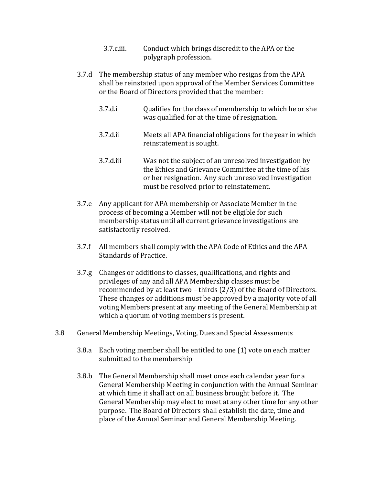- 3.7.c.iii. Conduct which brings discredit to the APA or the polygraph profession.
- 3.7.d The membership status of any member who resigns from the APA shall be reinstated upon approval of the Member Services Committee or the Board of Directors provided that the member:
	- 3.7.d.i Qualifies for the class of membership to which he or she was qualified for at the time of resignation.
	- 3.7.d.ii Meets all APA financial obligations for the year in which reinstatement is sought.
	- 3.7.d.iii Was not the subject of an unresolved investigation by the Ethics and Grievance Committee at the time of his or her resignation. Any such unresolved investigation must be resolved prior to reinstatement.
- 3.7.e Any applicant for APA membership or Associate Member in the process of becoming a Member will not be eligible for such membership status until all current grievance investigations are satisfactorily resolved.
- 3.7.f All members shall comply with the APA Code of Ethics and the APA Standards of Practice.
- 3.7.g Changes or additions to classes, qualifications, and rights and privileges of any and all APA Membership classes must be recommended by at least two – thirds (2/3) of the Board of Directors. These changes or additions must be approved by a majority vote of all voting Members present at any meeting of the General Membership at which a quorum of voting members is present.
- 3.8 General Membership Meetings, Voting, Dues and Special Assessments
	- 3.8.a Each voting member shall be entitled to one (1) vote on each matter submitted to the membership
	- 3.8.b The General Membership shall meet once each calendar year for a General Membership Meeting in conjunction with the Annual Seminar at which time it shall act on all business brought before it. The General Membership may elect to meet at any other time for any other purpose. The Board of Directors shall establish the date, time and place of the Annual Seminar and General Membership Meeting.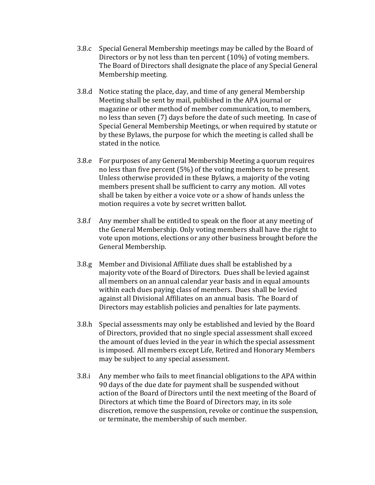- 3.8.c Special General Membership meetings may be called by the Board of Directors or by not less than ten percent (10%) of voting members. The Board of Directors shall designate the place of any Special General Membership meeting.
- 3.8.d Notice stating the place, day, and time of any general Membership Meeting shall be sent by mail, published in the APA journal or magazine or other method of member communication, to members, no less than seven (7) days before the date of such meeting. In case of Special General Membership Meetings, or when required by statute or by these Bylaws, the purpose for which the meeting is called shall be stated in the notice.
- 3.8.e For purposes of any General Membership Meeting a quorum requires no less than five percent (5%) of the voting members to be present. Unless otherwise provided in these Bylaws, a majority of the voting members present shall be sufficient to carry any motion. All votes shall be taken by either a voice vote or a show of hands unless the motion requires a vote by secret written ballot.
- 3.8.f Any member shall be entitled to speak on the floor at any meeting of the General Membership. Only voting members shall have the right to vote upon motions, elections or any other business brought before the General Membership.
- 3.8.g Member and Divisional Affiliate dues shall be established by a majority vote of the Board of Directors. Dues shall be levied against all members on an annual calendar year basis and in equal amounts within each dues paying class of members. Dues shall be levied against all Divisional Affiliates on an annual basis. The Board of Directors may establish policies and penalties for late payments.
- 3.8.h Special assessments may only be established and levied by the Board of Directors, provided that no single special assessment shall exceed the amount of dues levied in the year in which the special assessment is imposed. All members except Life, Retired and Honorary Members may be subject to any special assessment.
- 3.8.i Any member who fails to meet financial obligations to the APA within 90 days of the due date for payment shall be suspended without action of the Board of Directors until the next meeting of the Board of Directors at which time the Board of Directors may, in its sole discretion, remove the suspension, revoke or continue the suspension, or terminate, the membership of such member.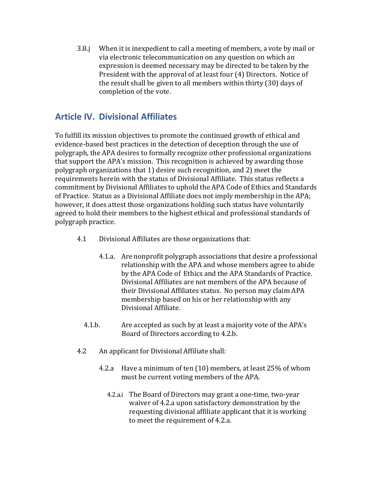3.8.j When it is inexpedient to call a meeting of members, a vote by mail or via electronic telecommunication on any question on which an expression is deemed necessary may be directed to be taken by the President with the approval of at least four (4) Directors. Notice of the result shall be given to all members within thirty (30) days of completion of the vote.

# **Article IV. Divisional Affiliates**

To fulfill its mission objectives to promote the continued growth of ethical and evidence-based best practices in the detection of deception through the use of polygraph, the APA desires to formally recognize other professional organizations that support the APA's mission. This recognition is achieved by awarding those polygraph organizations that 1) desire such recognition, and 2) meet the requirements herein with the status of Divisional Affiliate. This status reflects a commitment by Divisional Affiliates to uphold the APA Code of Ethics and Standards of Practice. Status as a Divisional Affiliate does not imply membership in the APA; however, it does attest those organizations holding such status have voluntarily agreed to hold their members to the highest ethical and professional standards of polygraph practice.

- 4.1 Divisional Affiliates are those organizations that:
	- 4.1.a. Are nonprofit polygraph associations that desire a professional relationship with the APA and whose members agree to abide by the APA Code of Ethics and the APA Standards of Practice. Divisional Affiliates are not members of the APA because of their Divisional Affiliates status. No person may claim APA membership based on his or her relationship with any Divisional Affiliate.
	- 4.1.b. Are accepted as such by at least a majority vote of the APA's Board of Directors according to 4.2.b.
- 4.2 An applicant for Divisional Affiliate shall:
	- 4.2.a Have a minimum of ten (10) members, at least 25% of whom must be current voting members of the APA.
		- 4.2.a.i The Board of Directors may grant a one-time, two-year waiver of 4.2.a upon satisfactory demonstration by the requesting divisional affiliate applicant that it is working to meet the requirement of 4.2.a.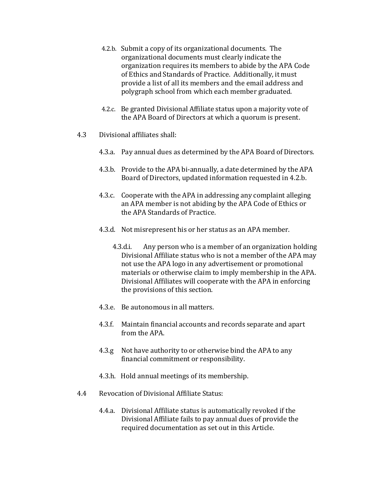- 4.2.b. Submit a copy of its organizational documents. The organizational documents must clearly indicate the organization requires its members to abide by the APA Code of Ethics and Standards of Practice. Additionally, it must provide a list of all its members and the email address and polygraph school from which each member graduated.
- 4.2.c. Be granted Divisional Affiliate status upon a majority vote of the APA Board of Directors at which a quorum is present.
- 4.3 Divisional affiliates shall:
	- 4.3.a. Pay annual dues as determined by the APA Board of Directors.
	- 4.3.b. Provide to the APA bi-annually, a date determined by the APA Board of Directors, updated information requested in 4.2.b.
	- 4.3.c. Cooperate with the APA in addressing any complaint alleging an APA member is not abiding by the APA Code of Ethics or the APA Standards of Practice.
	- 4.3.d. Not misrepresent his or her status as an APA member.
		- 4.3.d.i. Any person who is a member of an organization holding Divisional Affiliate status who is not a member of the APA may not use the APA logo in any advertisement or promotional materials or otherwise claim to imply membership in the APA. Divisional Affiliates will cooperate with the APA in enforcing the provisions of this section.
	- 4.3.e. Be autonomous in all matters.
	- 4.3.f. Maintain financial accounts and records separate and apart from the APA.
	- 4.3.g Not have authority to or otherwise bind the APA to any financial commitment or responsibility.
	- 4.3.h. Hold annual meetings of its membership.
- 4.4 Revocation of Divisional Affiliate Status:
	- 4.4.a. Divisional Affiliate status is automatically revoked if the Divisional Affiliate fails to pay annual dues of provide the required documentation as set out in this Article.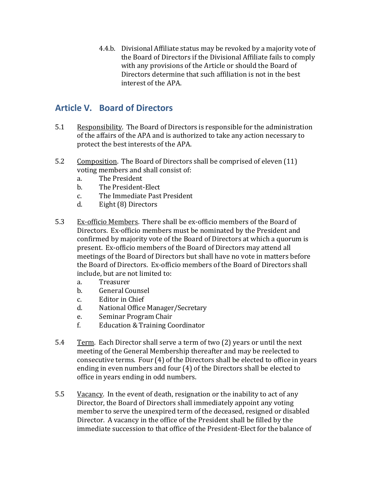4.4.b. Divisional Affiliate status may be revoked by a majority vote of the Board of Directors if the Divisional Affiliate fails to comply with any provisions of the Article or should the Board of Directors determine that such affiliation is not in the best interest of the APA.

## **Article V. Board of Directors**

- 5.1 Responsibility. The Board of Directors is responsible for the administration of the affairs of the APA and is authorized to take any action necessary to protect the best interests of the APA.
- 5.2 Composition. The Board of Directors shall be comprised of eleven (11) voting members and shall consist of:
	- a. The President
	- b. The President-Elect
	- c. The Immediate Past President
	- d. Eight (8) Directors
- 5.3 Ex-officio Members. There shall be ex-officio members of the Board of Directors. Ex-officio members must be nominated by the President and confirmed by majority vote of the Board of Directors at which a quorum is present. Ex-officio members of the Board of Directors may attend all meetings of the Board of Directors but shall have no vote in matters before the Board of Directors. Ex-officio members of the Board of Directors shall include, but are not limited to:
	- a. Treasurer
	- b. General Counsel
	- c. Editor in Chief
	- d. National Office Manager/Secretary
	- e. Seminar Program Chair
	- f. Education & Training Coordinator
- 5.4 Term. Each Director shall serve a term of two (2) years or until the next meeting of the General Membership thereafter and may be reelected to consecutive terms. Four (4) of the Directors shall be elected to office in years ending in even numbers and four (4) of the Directors shall be elected to office in years ending in odd numbers.
- 5.5 Vacancy. In the event of death, resignation or the inability to act of any Director, the Board of Directors shall immediately appoint any voting member to serve the unexpired term of the deceased, resigned or disabled Director. A vacancy in the office of the President shall be filled by the immediate succession to that office of the President-Elect for the balance of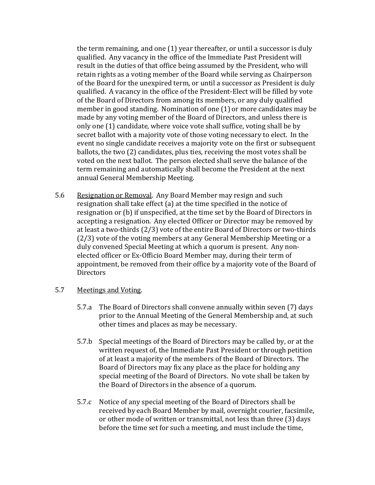the term remaining, and one (1) year thereafter, or until a successor is duly qualified. Any vacancy in the office of the Immediate Past President will result in the duties of that office being assumed by the President, who will retain rights as a voting member of the Board while serving as Chairperson of the Board for the unexpired term, or until a successor as President is duly qualified. A vacancy in the office of the President-Elect will be filled by vote of the Board of Directors from among its members, or any duly qualified member in good standing. Nomination of one (1) or more candidates may be made by any voting member of the Board of Directors, and unless there is only one (1) candidate, where voice vote shall suffice, voting shall be by secret ballot with a majority vote of those voting necessary to elect. In the event no single candidate receives a majority vote on the first or subsequent ballots, the two (2) candidates, plus ties, receiving the most votes shall be voted on the next ballot. The person elected shall serve the balance of the term remaining and automatically shall become the President at the next annual General Membership Meeting.

5.6 Resignation or Removal. Any Board Member may resign and such resignation shall take effect (a) at the time specified in the notice of resignation or (b) if unspecified, at the time set by the Board of Directors in accepting a resignation. Any elected Officer or Director may be removed by at least a two-thirds (2/3) vote of the entire Board of Directors or two-thirds (2/3) vote of the voting members at any General Membership Meeting or a duly convened Special Meeting at which a quorum is present. Any nonelected officer or Ex-Officio Board Member may, during their term of appointment, be removed from their office by a majority vote of the Board of **Directors** 

#### 5.7 Meetings and Voting.

- 5.7.a The Board of Directors shall convene annually within seven (7) days prior to the Annual Meeting of the General Membership and, at such other times and places as may be necessary.
- 5.7.b Special meetings of the Board of Directors may be called by, or at the written request of, the Immediate Past President or through petition of at least a majority of the members of the Board of Directors. The Board of Directors may fix any place as the place for holding any special meeting of the Board of Directors. No vote shall be taken by the Board of Directors in the absence of a quorum.
- 5.7.c Notice of any special meeting of the Board of Directors shall be received by each Board Member by mail, overnight courier, facsimile, or other mode of written or transmittal, not less than three (3) days before the time set for such a meeting, and must include the time,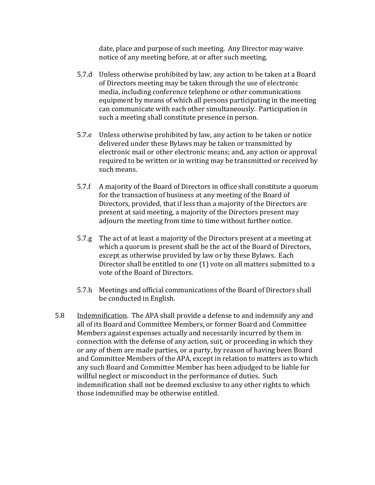date, place and purpose of such meeting. Any Director may waive notice of any meeting before, at or after such meeting.

- 5.7.d Unless otherwise prohibited by law, any action to be taken at a Board of Directors meeting may be taken through the use of electronic media, including conference telephone or other communications equipment by means of which all persons participating in the meeting can communicate with each other simultaneously. Participation in such a meeting shall constitute presence in person.
- 5.7.e Unless otherwise prohibited by law, any action to be taken or notice delivered under these Bylaws may be taken or transmitted by electronic mail or other electronic means; and, any action or approval required to be written or in writing may be transmitted or received by such means.
- 5.7.f A majority of the Board of Directors in office shall constitute a quorum for the transaction of business at any meeting of the Board of Directors, provided, that if less than a majority of the Directors are present at said meeting, a majority of the Directors present may adjourn the meeting from time to time without further notice.
- 5.7.g The act of at least a majority of the Directors present at a meeting at which a quorum is present shall be the act of the Board of Directors, except as otherwise provided by law or by these Bylaws. Each Director shall be entitled to one (1) vote on all matters submitted to a vote of the Board of Directors.
- 5.7.h Meetings and official communications of the Board of Directors shall be conducted in English.
- 5.8 Indemnification. The APA shall provide a defense to and indemnify any and all of its Board and Committee Members, or former Board and Committee Members against expenses actually and necessarily incurred by them in connection with the defense of any action, suit, or proceeding in which they or any of them are made parties, or a party, by reason of having been Board and Committee Members of the APA, except in relation to matters as to which any such Board and Committee Member has been adjudged to be liable for willful neglect or misconduct in the performance of duties. Such indemnification shall not be deemed exclusive to any other rights to which those indemnified may be otherwise entitled.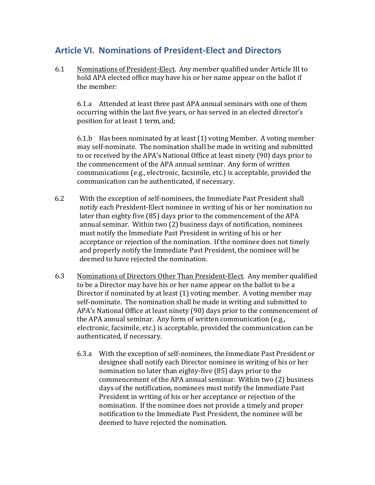# **Article VI. Nominations of President-Elect and Directors**

6.1 Nominations of President-Elect. Any member qualified under Article III to hold APA elected office may have his or her name appear on the ballot if the member:

6.1.a Attended at least three past APA annual seminars with one of them occurring within the last five years, or has served in an elected director's position for at least 1 term, and;

6.1.b Has been nominated by at least (1) voting Member. A voting member may self-nominate. The nomination shall be made in writing and submitted to or received by the APA's National Office at least ninety (90) days prior to the commencement of the APA annual seminar. Any form of written communications (e.g., electronic, facsimile, etc.) is acceptable, provided the communication can be authenticated, if necessary.

- 6.2 With the exception of self-nominees, the Immediate Past President shall notify each President-Elect nominee in writing of his or her nomination no later than eighty five (85) days prior to the commencement of the APA annual seminar. Within two (2) business days of notification, nominees must notify the Immediate Past President in writing of his or her acceptance or rejection of the nomination. If the nominee does not timely and properly notify the Immediate Past President, the nominee will be deemed to have rejected the nomination.
- 6.3 Nominations of Directors Other Than President-Elect. Any member qualified to be a Director may have his or her name appear on the ballot to be a Director if nominated by at least (1) voting member. A voting member may self-nominate. The nomination shall be made in writing and submitted to APA's National Office at least ninety (90) days prior to the commencement of the APA annual seminar. Any form of written communication (e.g., electronic, facsimile, etc.) is acceptable, provided the communication can be authenticated, if necessary.
	- 6.3.a With the exception of self-nominees, the Immediate Past President or designee shall notify each Director nominee in writing of his or her nomination no later than eighty-five (85) days prior to the commencement of the APA annual seminar. Within two (2) business days of the notification, nominees must notify the Immediate Past President in writing of his or her acceptance or rejection of the nomination. If the nominee does not provide a timely and proper notification to the Immediate Past President, the nominee will be deemed to have rejected the nomination.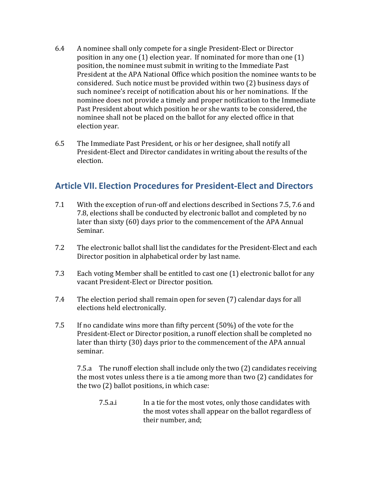- 6.4 A nominee shall only compete for a single President-Elect or Director position in any one (1) election year. If nominated for more than one (1) position, the nominee must submit in writing to the Immediate Past President at the APA National Office which position the nominee wants to be considered. Such notice must be provided within two (2) business days of such nominee's receipt of notification about his or her nominations. If the nominee does not provide a timely and proper notification to the Immediate Past President about which position he or she wants to be considered, the nominee shall not be placed on the ballot for any elected office in that election year.
- 6.5 The Immediate Past President, or his or her designee, shall notify all President-Elect and Director candidates in writing about the results of the election.

## **Article VII. Election Procedures for President-Elect and Directors**

- 7.1 With the exception of run-off and elections described in Sections 7.5, 7.6 and 7.8, elections shall be conducted by electronic ballot and completed by no later than sixty (60) days prior to the commencement of the APA Annual Seminar.
- 7.2 The electronic ballot shall list the candidates for the President-Elect and each Director position in alphabetical order by last name.
- 7.3 Each voting Member shall be entitled to cast one (1) electronic ballot for any vacant President-Elect or Director position.
- 7.4 The election period shall remain open for seven (7) calendar days for all elections held electronically.
- 7.5 If no candidate wins more than fifty percent (50%) of the vote for the President-Elect or Director position, a runoff election shall be completed no later than thirty (30) days prior to the commencement of the APA annual seminar.

7.5.a The runoff election shall include only the two (2) candidates receiving the most votes unless there is a tie among more than two (2) candidates for the two (2) ballot positions, in which case:

7.5.a.i In a tie for the most votes, only those candidates with the most votes shall appear on the ballot regardless of their number, and;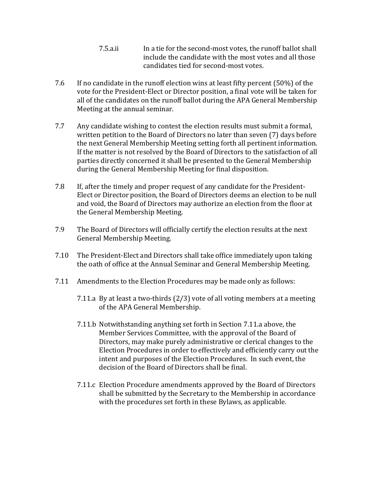- 7.5.a.ii In a tie for the second-most votes, the runoff ballot shall include the candidate with the most votes and all those candidates tied for second-most votes.
- 7.6 If no candidate in the runoff election wins at least fifty percent (50%) of the vote for the President-Elect or Director position, a final vote will be taken for all of the candidates on the runoff ballot during the APA General Membership Meeting at the annual seminar.
- 7.7 Any candidate wishing to contest the election results must submit a formal, written petition to the Board of Directors no later than seven (7) days before the next General Membership Meeting setting forth all pertinent information. If the matter is not resolved by the Board of Directors to the satisfaction of all parties directly concerned it shall be presented to the General Membership during the General Membership Meeting for final disposition.
- 7.8 If, after the timely and proper request of any candidate for the President-Elect or Director position, the Board of Directors deems an election to be null and void, the Board of Directors may authorize an election from the floor at the General Membership Meeting.
- 7.9 The Board of Directors will officially certify the election results at the next General Membership Meeting.
- 7.10 The President-Elect and Directors shall take office immediately upon taking the oath of office at the Annual Seminar and General Membership Meeting.
- 7.11 Amendments to the Election Procedures may be made only as follows:
	- 7.11.a By at least a two-thirds (2/3) vote of all voting members at a meeting of the APA General Membership.
	- 7.11.b Notwithstanding anything set forth in Section 7.11.a above, the Member Services Committee, with the approval of the Board of Directors, may make purely administrative or clerical changes to the Election Procedures in order to effectively and efficiently carry out the intent and purposes of the Election Procedures. In such event, the decision of the Board of Directors shall be final.
	- 7.11.c Election Procedure amendments approved by the Board of Directors shall be submitted by the Secretary to the Membership in accordance with the procedures set forth in these Bylaws, as applicable.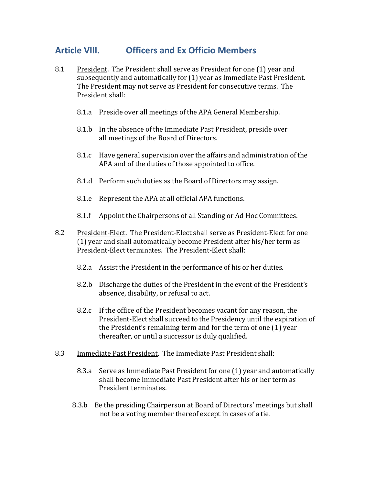# **Article VIII. Officers and Ex Officio Members**

- 8.1 President. The President shall serve as President for one (1) year and subsequently and automatically for (1) year as Immediate Past President. The President may not serve as President for consecutive terms. The President shall:
	- 8.1.a Preside over all meetings of the APA General Membership.
	- 8.1.b In the absence of the Immediate Past President, preside over all meetings of the Board of Directors.
	- 8.1.c Have general supervision over the affairs and administration of the APA and of the duties of those appointed to office.
	- 8.1.d Perform such duties as the Board of Directors may assign.
	- 8.1.e Represent the APA at all official APA functions.
	- 8.1.f Appoint the Chairpersons of all Standing or Ad Hoc Committees.
- 8.2 President-Elect. The President-Elect shall serve as President-Elect for one (1) year and shall automatically become President after his/her term as President-Elect terminates. The President-Elect shall:
	- 8.2.a Assist the President in the performance of his or her duties.
	- 8.2.b Discharge the duties of the President in the event of the President's absence, disability, or refusal to act.
	- 8.2.c If the office of the President becomes vacant for any reason, the President-Elect shall succeed to the Presidency until the expiration of the President's remaining term and for the term of one (1) year thereafter, or until a successor is duly qualified.
- 8.3 Immediate Past President. The Immediate Past President shall:
	- 8.3.a Serve as Immediate Past President for one (1) year and automatically shall become Immediate Past President after his or her term as President terminates.
	- 8.3.b Be the presiding Chairperson at Board of Directors' meetings but shall not be a voting member thereof except in cases of a tie.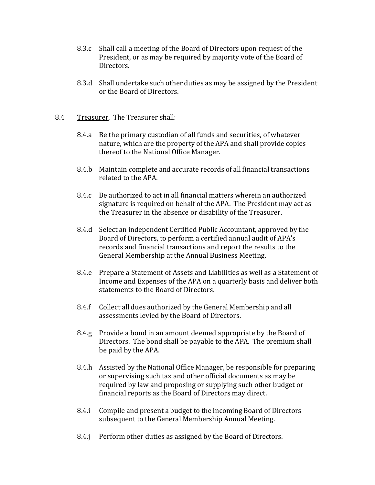- 8.3.c Shall call a meeting of the Board of Directors upon request of the President, or as may be required by majority vote of the Board of Directors.
- 8.3.d Shall undertake such other duties as may be assigned by the President or the Board of Directors.
- 8.4 Treasurer. The Treasurer shall:
	- 8.4.a Be the primary custodian of all funds and securities, of whatever nature, which are the property of the APA and shall provide copies thereof to the National Office Manager.
	- 8.4.b Maintain complete and accurate records of all financial transactions related to the APA.
	- 8.4.c Be authorized to act in all financial matters wherein an authorized signature is required on behalf of the APA. The President may act as the Treasurer in the absence or disability of the Treasurer.
	- 8.4.d Select an independent Certified Public Accountant, approved by the Board of Directors, to perform a certified annual audit of APA's records and financial transactions and report the results to the General Membership at the Annual Business Meeting.
	- 8.4.e Prepare a Statement of Assets and Liabilities as well as a Statement of Income and Expenses of the APA on a quarterly basis and deliver both statements to the Board of Directors.
	- 8.4.f Collect all dues authorized by the General Membership and all assessments levied by the Board of Directors.
	- 8.4.g Provide a bond in an amount deemed appropriate by the Board of Directors. The bond shall be payable to the APA. The premium shall be paid by the APA.
	- 8.4.h Assisted by the National Office Manager, be responsible for preparing or supervising such tax and other official documents as may be required by law and proposing or supplying such other budget or financial reports as the Board of Directors may direct.
	- 8.4.i Compile and present a budget to the incoming Board of Directors subsequent to the General Membership Annual Meeting.
	- 8.4.j Perform other duties as assigned by the Board of Directors.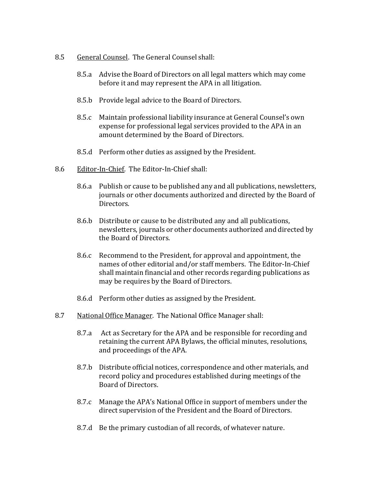- 8.5 General Counsel. The General Counsel shall:
	- 8.5.a Advise the Board of Directors on all legal matters which may come before it and may represent the APA in all litigation.
	- 8.5.b Provide legal advice to the Board of Directors.
	- 8.5.c Maintain professional liability insurance at General Counsel's own expense for professional legal services provided to the APA in an amount determined by the Board of Directors.
	- 8.5.d Perform other duties as assigned by the President.
- 8.6 Editor-In-Chief. The Editor-In-Chief shall:
	- 8.6.a Publish or cause to be published any and all publications, newsletters, journals or other documents authorized and directed by the Board of Directors.
	- 8.6.b Distribute or cause to be distributed any and all publications, newsletters, journals or other documents authorized and directed by the Board of Directors.
	- 8.6.c Recommend to the President, for approval and appointment, the names of other editorial and/or staff members. The Editor-In-Chief shall maintain financial and other records regarding publications as may be requires by the Board of Directors.
	- 8.6.d Perform other duties as assigned by the President.
- 8.7 National Office Manager. The National Office Manager shall:
	- 8.7.a Act as Secretary for the APA and be responsible for recording and retaining the current APA Bylaws, the official minutes, resolutions, and proceedings of the APA.
	- 8.7.b Distribute official notices, correspondence and other materials, and record policy and procedures established during meetings of the Board of Directors.
	- 8.7.c Manage the APA's National Office in support of members under the direct supervision of the President and the Board of Directors.
	- 8.7.d Be the primary custodian of all records, of whatever nature.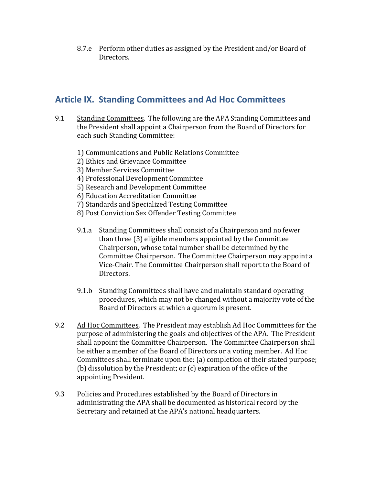8.7.e Perform other duties as assigned by the President and/or Board of Directors.

# **Article IX. Standing Committees and Ad Hoc Committees**

- 9.1 Standing Committees. The following are the APA Standing Committees and the President shall appoint a Chairperson from the Board of Directors for each such Standing Committee:
	- 1) Communications and Public Relations Committee
	- 2) Ethics and Grievance Committee
	- 3) Member Services Committee
	- 4) Professional Development Committee
	- 5) Research and Development Committee
	- 6) Education Accreditation Committee
	- 7) Standards and Specialized Testing Committee
	- 8) Post Conviction Sex Offender Testing Committee
	- 9.1.a Standing Committees shall consist of a Chairperson and no fewer than three (3) eligible members appointed by the Committee Chairperson, whose total number shall be determined by the Committee Chairperson. The Committee Chairperson may appoint a Vice-Chair. The Committee Chairperson shall report to the Board of Directors.
	- 9.1.b Standing Committees shall have and maintain standard operating procedures, which may not be changed without a majority vote of the Board of Directors at which a quorum is present.
- 9.2 Ad Hoc Committees. The President may establish Ad Hoc Committees for the purpose of administering the goals and objectives of the APA. The President shall appoint the Committee Chairperson. The Committee Chairperson shall be either a member of the Board of Directors or a voting member. Ad Hoc Committees shall terminate upon the: (a) completion of their stated purpose; (b) dissolution by the President; or (c) expiration of the office of the appointing President.
- 9.3 Policies and Procedures established by the Board of Directors in administrating the APA shall be documented as historical record by the Secretary and retained at the APA's national headquarters.